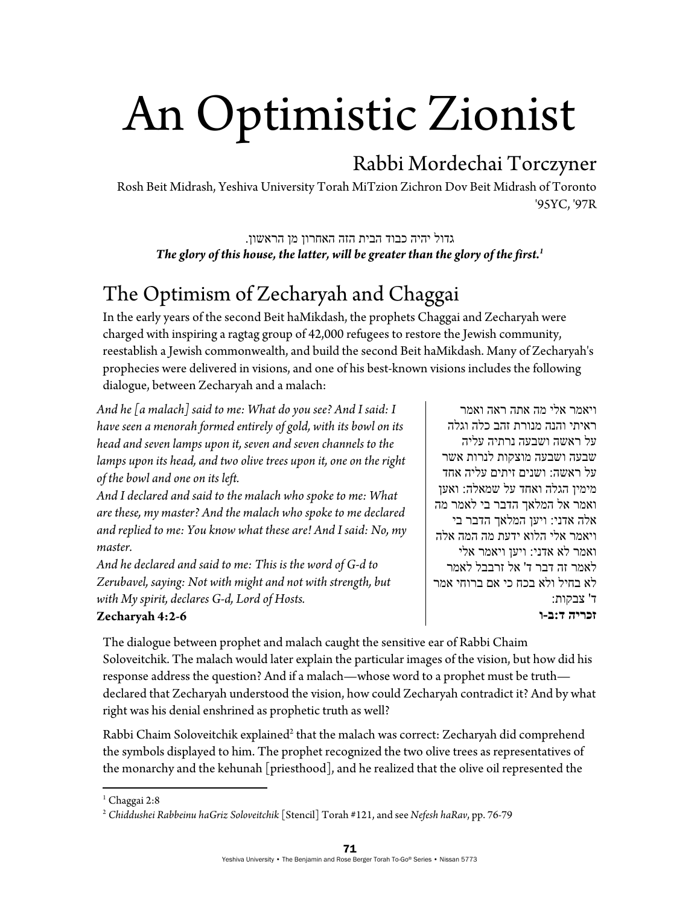# An Optimistic Zionist

## Rabbi Mordechai Torczyner

Rosh Beit Midrash, Yeshiva University Torah MiTzion Zichron Dov Beit Midrash of Toronto '95YC, '97R

גדול יהיה כבוד הבית הזה האחרון מן הראשון . *The glory of this house, the latter, will be greater than the glory of the first.1*

## The Optimism of Zecharyah and Chaggai

In the early years of the second Beit haMikdash, the prophets Chaggai and Zecharyah were charged with inspiring a ragtag group of 42,000 refugees to restore the Jewish community, reestablish a Jewish commonwealth, and build the second Beit haMikdash. Many of Zecharyah's prophecies were delivered in visions, and one of his best-known visions includes the following dialogue, between Zecharyah and a malach:

*And he [a malach] said to me: What do you see? And I said: I have seen a menorah formed entirely of gold, with its bowl on its head and seven lamps upon it, seven and seven channels to the lamps upon its head, and two olive trees upon it, one on the right of the bowl and one on its left.* 

*And I declared and said to the malach who spoke to me: What are these, my master? And the malach who spoke to me declared and replied to me: You know what these are! And I said: No, my master.* 

*And he declared and said to me: This is the word of G-d to Zerubavel, saying: Not with might and not with strength, but with My spirit, declares G-d, Lord of Hosts.* 

ויאמר אלי מה אתה ראה ואמר ראיתי והנה מנורת זהב כלה וגלה על ראשה ושבעה נרתיה עליה שבעה ושבעה מוצקות לנרות אשר על ראשה: ושנים זיתים עליה אחד מימין הגלה ואחד על שמאלה: ואען ואמר אל המלאך הדבר בי לאמר מה אלה אדני: ויען המלאך הדבר בי ויאמר אלי הלוא ידעת מה המה אלה ואמר לא אדני: ויען ויאמר אלי לאמר זה דבר ד' אל זרבבל לאמר לא בחיל ולא בכח כי אם ברוחי אמר ד' צבקות: **זכריה ד:ב-ו**

#### **Zecharyah 4:2-6**

The dialogue between prophet and malach caught the sensitive ear of Rabbi Chaim Soloveitchik. The malach would later explain the particular images of the vision, but how did his response address the question? And if a malach—whose word to a prophet must be truth declared that Zecharyah understood the vision, how could Zecharyah contradict it? And by what right was his denial enshrined as prophetic truth as well?

Rabbi Chaim Soloveitchik explained<sup>2</sup> that the malach was correct: Zecharyah did comprehend the symbols displayed to him. The prophet recognized the two olive trees as representatives of the monarchy and the kehunah [priesthood], and he realized that the olive oil represented the

 1 Chaggai 2:8

<sup>2</sup> *Chiddushei Rabbeinu haGriz Soloveitchik* [Stencil] Torah #121, and see *Nefesh haRav*, pp. 76-79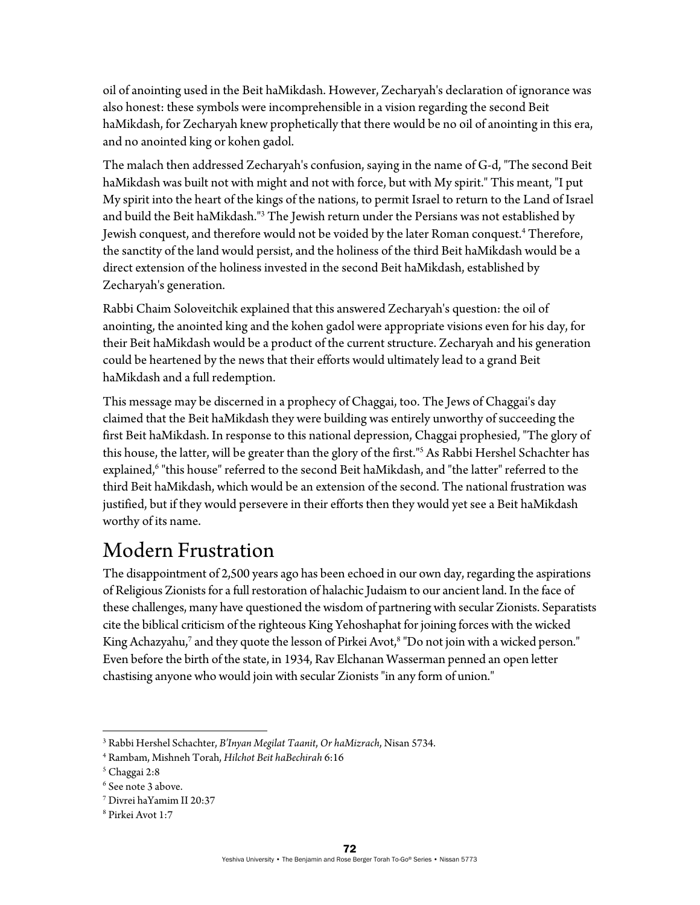oil of anointing used in the Beit haMikdash. However, Zecharyah's declaration of ignorance was also honest: these symbols were incomprehensible in a vision regarding the second Beit haMikdash, for Zecharyah knew prophetically that there would be no oil of anointing in this era, and no anointed king or kohen gadol.

The malach then addressed Zecharyah's confusion, saying in the name of G-d, "The second Beit haMikdash was built not with might and not with force, but with My spirit." This meant, "I put My spirit into the heart of the kings of the nations, to permit Israel to return to the Land of Israel and build the Beit haMikdash."3 The Jewish return under the Persians was not established by Jewish conquest, and therefore would not be voided by the later Roman conquest.4 Therefore, the sanctity of the land would persist, and the holiness of the third Beit haMikdash would be a direct extension of the holiness invested in the second Beit haMikdash, established by Zecharyah's generation.

Rabbi Chaim Soloveitchik explained that this answered Zecharyah's question: the oil of anointing, the anointed king and the kohen gadol were appropriate visions even for his day, for their Beit haMikdash would be a product of the current structure. Zecharyah and his generation could be heartened by the news that their efforts would ultimately lead to a grand Beit haMikdash and a full redemption.

This message may be discerned in a prophecy of Chaggai, too. The Jews of Chaggai's day claimed that the Beit haMikdash they were building was entirely unworthy of succeeding the first Beit haMikdash. In response to this national depression, Chaggai prophesied, "The glory of this house, the latter, will be greater than the glory of the first."5 As Rabbi Hershel Schachter has explained,<sup>6</sup> "this house" referred to the second Beit haMikdash, and "the latter" referred to the third Beit haMikdash, which would be an extension of the second. The national frustration was justified, but if they would persevere in their efforts then they would yet see a Beit haMikdash worthy of its name.

## Modern Frustration

The disappointment of 2,500 years ago has been echoed in our own day, regarding the aspirations of Religious Zionists for a full restoration of halachic Judaism to our ancient land. In the face of these challenges, many have questioned the wisdom of partnering with secular Zionists. Separatists cite the biblical criticism of the righteous King Yehoshaphat for joining forces with the wicked King Achazyahu,<sup>7</sup> and they quote the lesson of Pirkei Avot,<sup>8</sup> "Do not join with a wicked person." Even before the birth of the state, in 1934, Rav Elchanan Wasserman penned an open letter chastising anyone who would join with secular Zionists "in any form of union."

<sup>&</sup>lt;sup>3</sup> Rabbi Hershel Schachter, *B'Inyan Megilat Taanit, Or haMizrach,* Nisan 5734.<br><sup>4</sup> Rambam, Mishneb Torah, Hilchat Beit haBechirah 6:16.

Rambam, Mishneh Torah, *Hilchot Beit haBechirah* 6:16 5

Chaggai 2:8

<sup>6</sup> See note 3 above.

<sup>7</sup> Divrei haYamim II 20:37

<sup>8</sup> Pirkei Avot 1:7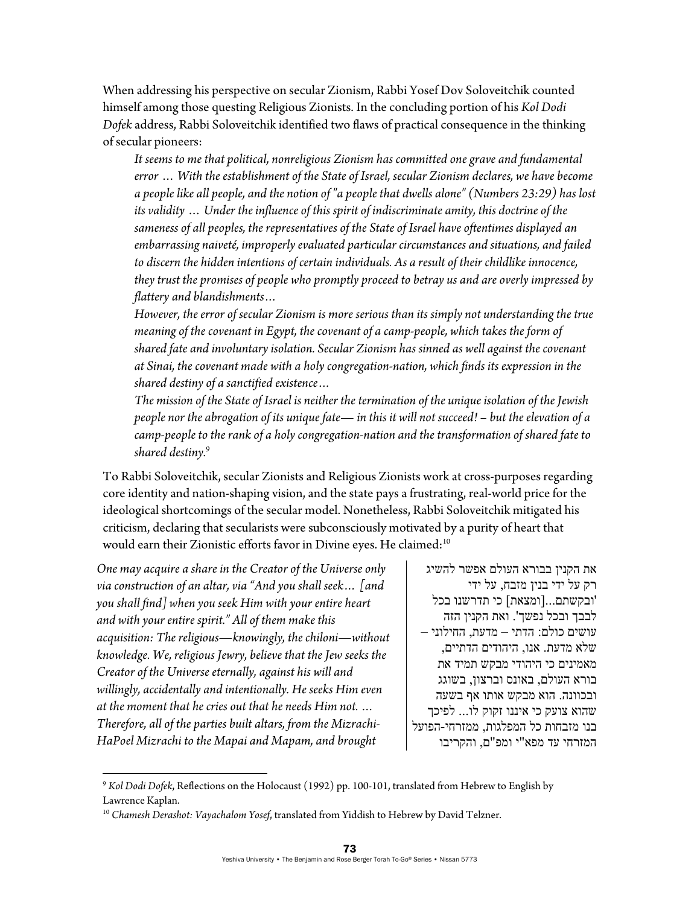When addressing his perspective on secular Zionism, Rabbi Yosef Dov Soloveitchik counted himself among those questing Religious Zionists. In the concluding portion of his *Kol Dodi Dofek* address, Rabbi Soloveitchik identified two flaws of practical consequence in the thinking of secular pioneers:

*It seems to me that political, nonreligious Zionism has committed one grave and fundamental error* … *With the establishment of the State of Israel, secular Zionism declares, we have become a people like all people, and the notion of "a people that dwells alone" (Numbers 23:29) has lost its validity* … *Under the influence of this spirit of indiscriminate amity, this doctrine of the sameness of all peoples, the representatives of the State of Israel have oftentimes displayed an embarrassing naiveté, improperly evaluated particular circumstances and situations, and failed to discern the hidden intentions of certain individuals. As a result of their childlike innocence, they trust the promises of people who promptly proceed to betray us and are overly impressed by flattery and blandishments…* 

*However, the error of secular Zionism is more serious than its simply not understanding the true meaning of the covenant in Egypt, the covenant of a camp-people, which takes the form of shared fate and involuntary isolation. Secular Zionism has sinned as well against the covenant at Sinai, the covenant made with a holy congregation-nation, which finds its expression in the shared destiny of a sanctified existence…* 

*The mission of the State of Israel is neither the termination of the unique isolation of the Jewish people nor the abrogation of its unique fate*— *in this it will not succeed! – but the elevation of a camp-people to the rank of a holy congregation-nation and the transformation of shared fate to shared destiny.*<sup>9</sup>

To Rabbi Soloveitchik, secular Zionists and Religious Zionists work at cross-purposes regarding core identity and nation-shaping vision, and the state pays a frustrating, real-world price for the ideological shortcomings of the secular model. Nonetheless, Rabbi Soloveitchik mitigated his criticism, declaring that secularists were subconsciously motivated by a purity of heart that would earn their Zionistic efforts favor in Divine eyes. He claimed:<sup>10</sup>

*One may acquire a share in the Creator of the Universe only via construction of an altar, via "And you shall seek… [and you shall find] when you seek Him with your entire heart and with your entire spirit." All of them make this acquisition: The religious*—*knowingly, the chiloni*—*without knowledge. We, religious Jewry, believe that the Jew seeks the Creator of the Universe eternally, against his will and willingly, accidentally and intentionally. He seeks Him even at the moment that he cries out that he needs Him not. … Therefore, all of the parties built altars, from the Mizrachi-HaPoel Mizrachi to the Mapai and Mapam, and brought* 

את הקנין בבורא העולם אפשר להשיג רק על ידי בנין מזבח, על ידי 'ובקשתם...[ומצאת] כי תדרשנו בכל לבבך ובכל נפשך'. ואת הקנין הזה עושים כולם: הדתי – מדעת, החילוני – שלא מדעת. אנו, היהודים הדתיים, מאמינים כי היהודי מבקש תמיד את בורא העולם, באונס וברצון, בשוגג ובכוונה. הוא מבקש אותו אף בשעה שהוא צועק כי איננו זקוק לו... לפיכך בנו מזבחות כל המפלגות, ממזרחי-הפועל המזרחי עד מפא"י ומפ"ם, והקריבו

<sup>9</sup> *Kol Dodi Dofek*, Reflections on the Holocaust (1992) pp. 100-101, translated from Hebrew to English by Lawrence Kaplan.

<sup>10</sup> *Chamesh Derashot: Vayachalom Yosef*, translated from Yiddish to Hebrew by David Telzner.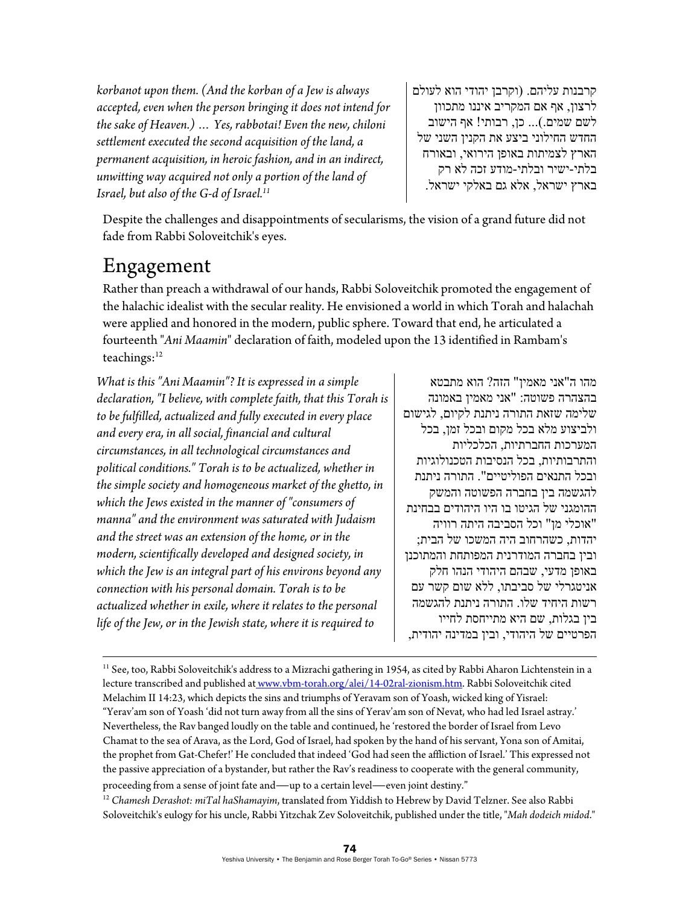*korbanot upon them. (And the korban of a Jew is always accepted, even when the person bringing it does not intend for the sake of Heaven.) … Yes, rabbotai! Even the new, chiloni settlement executed the second acquisition of the land, a permanent acquisition, in heroic fashion, and in an indirect, unwitting way acquired not only a portion of the land of Israel, but also of the G-d of Israel.11*

קרבנות עליהם. (וקרבן יהודי הוא לעולם לרצון, אף אם המקריב איננו מתכוון לשם שמים.)... כן, רבותי! אף הישוב החדש החילוני ביצע את הקנין השני של הארץ לצמיתות באופן הירואי, ובאורח בלתי-ישיר ובלתי-מודע זכה לא רק בארץ ישראל, אלא גם באלקי ישראל.

Despite the challenges and disappointments of secularisms, the vision of a grand future did not fade from Rabbi Soloveitchik's eyes.

### Engagement

Rather than preach a withdrawal of our hands, Rabbi Soloveitchik promoted the engagement of the halachic idealist with the secular reality. He envisioned a world in which Torah and halachah were applied and honored in the modern, public sphere. Toward that end, he articulated a fourteenth "*Ani Maamin*" declaration of faith, modeled upon the 13 identified in Rambam's teachings:<sup>12</sup>

*What is this "Ani Maamin"? It is expressed in a simple declaration, "I believe, with complete faith, that this Torah is to be fulfilled, actualized and fully executed in every place and every era, in all social, financial and cultural circumstances, in all technological circumstances and political conditions." Torah is to be actualized, whether in the simple society and homogeneous market of the ghetto, in which the Jews existed in the manner of "consumers of manna" and the environment was saturated with Judaism and the street was an extension of the home, or in the modern, scientifically developed and designed society, in which the Jew is an integral part of his environs beyond any connection with his personal domain. Torah is to be actualized whether in exile, where it relates to the personal life of the Jew, or in the Jewish state, where it is required to* 

מהו ה"אני מאמין" הזה? הוא מתבטא בהצהרה פשוטה: "אני מאמין באמונה שלימה שזאת התורה ניתנת לקיום, לגישום ולביצוע מלא בכל מקום ובכל זמן, בכל המערכות החברתיות, הכלכליות והתרבותיות, בכל הנסיבות הטכנולוגיות ובכל התנאים הפוליטיים". התורה ניתנת להגשמה בין בחברה הפשוטה והמשק ההומגני של הגיטו בו היו היהודים בבחינת "אוכלי מן" וכל הסביבה היתה רוויה יהדות, כשהרחוב היה המשכו של הבית; ובין בחברה המודרנית המפותחת והמתוכנן באופן מדעי, שבהם היהודי הנהו חלק אניטגרלי של סביבתו, ללא שום קשר עם רשות היחיד שלו. התורה ניתנת להגשמה בין בגלות, שם היא מתייחסת לחייו הפרטיים של היהודי, ובין במדינה יהודית,

<u> 1989 - Johann Stoff, amerikansk politiker (d. 1989)</u>

Soloveitchik's eulogy for his uncle, Rabbi Yitzchak Zev Soloveitchik, published under the title, "*Mah dodeich midod*."

<sup>&</sup>lt;sup>11</sup> See, too, Rabbi Soloveitchik's address to a Mizrachi gathering in 1954, as cited by Rabbi Aharon Lichtenstein in a lecture transcribed and published at www.vbm-torah.org/alei/14-02ral-zionism.htm. Rabbi Soloveitchik cited Melachim II 14:23, which depicts the sins and triumphs of Yeravam son of Yoash, wicked king of Yisrael: "Yerav'am son of Yoash 'did not turn away from all the sins of Yerav'am son of Nevat, who had led Israel astray.' Nevertheless, the Rav banged loudly on the table and continued, he 'restored the border of Israel from Levo Chamat to the sea of Arava, as the Lord, God of Israel, had spoken by the hand of his servant, Yona son of Amitai, the prophet from Gat-Chefer!' He concluded that indeed 'God had seen the affliction of Israel.' This expressed not the passive appreciation of a bystander, but rather the Rav's readiness to cooperate with the general community, proceeding from a sense of joint fate and—up to a certain level—even joint destiny." 12 *Chamesh Derashot: miTal haShamayim*, translated from Yiddish to Hebrew by David Telzner. See also Rabbi